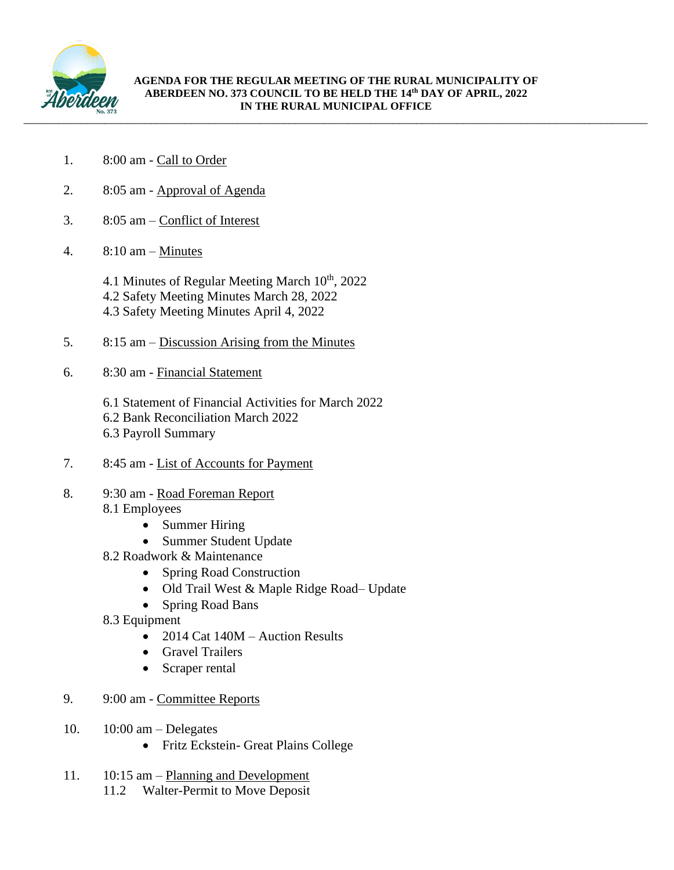

- 1. 8:00 am Call to Order
- 2. 8:05 am Approval of Agenda
- 3. 8:05 am Conflict of Interest
- 4.  $8:10 \text{ am} \text{Minutes}$ 
	- 4.1 Minutes of Regular Meeting March  $10<sup>th</sup>$ , 2022 4.2 Safety Meeting Minutes March 28, 2022 4.3 Safety Meeting Minutes April 4, 2022
- 5. 8:15 am Discussion Arising from the Minutes
- 6. 8:30 am Financial Statement
	- 6.1 Statement of Financial Activities for March 2022
	- 6.2 Bank Reconciliation March 2022
	- 6.3 Payroll Summary
- 7. 8:45 am List of Accounts for Payment
- 8. 9:30 am Road Foreman Report 8.1 Employees
	- Summer Hiring
	- Summer Student Update
	- 8.2 Roadwork & Maintenance
		- Spring Road Construction
		- Old Trail West & Maple Ridge Road– Update
		- Spring Road Bans
	- 8.3 Equipment
		- 2014 Cat 140M Auction Results
		- Gravel Trailers
		- Scraper rental
- 9. 9:00 am Committee Reports
- 10. 10:00 am Delegates
	- Fritz Eckstein- Great Plains College
- 11. 10:15 am Planning and Development 11.2 Walter-Permit to Move Deposit